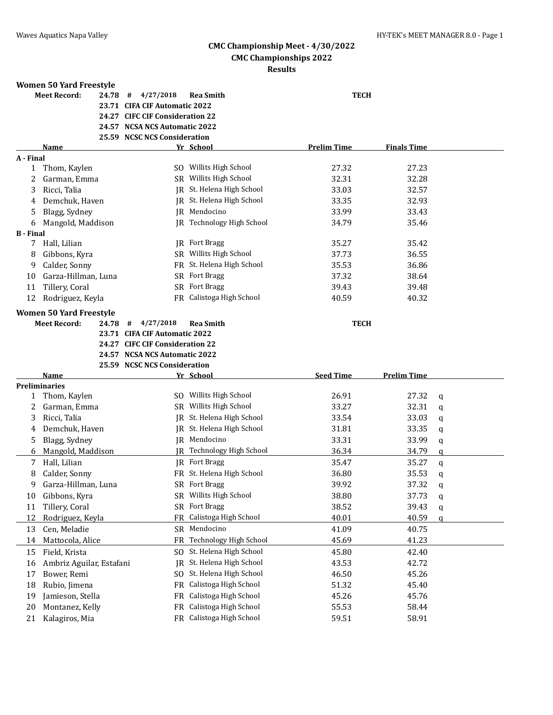**Finals Time Finals Time** 

#### **CMC Championship Meet - 4/30/2022 CMC Championships 2022 Results**

#### **Women 50 Yard Freestyle**

|           | WOMEN JU TATU FIEESLVIE      |                                 |                           |                    |                    |
|-----------|------------------------------|---------------------------------|---------------------------|--------------------|--------------------|
|           | <b>Meet Record:</b><br>24.78 | 4/27/2018<br>#                  | <b>Rea Smith</b>          | <b>TECH</b>        |                    |
|           |                              | 23.71 CIFA CIF Automatic 2022   |                           |                    |                    |
|           |                              | 24.27 CIFC CIF Consideration 22 |                           |                    |                    |
|           |                              | 24.57 NCSA NCS Automatic 2022   |                           |                    |                    |
|           |                              | 25.59 NCSC NCS Consideration    |                           |                    |                    |
|           | <b>Name</b>                  |                                 | Yr School                 | <b>Prelim Time</b> | <b>Finals Time</b> |
| A - Final |                              |                                 |                           |                    |                    |
| 1         | Thom, Kaylen                 |                                 | SO Willits High School    | 27.32              | 27.23              |
|           | Garman, Emma                 |                                 | SR Willits High School    | 32.31              | 32.28              |
| 3         | Ricci, Talia                 |                                 | IR St. Helena High School | 33.03              | 32.57              |
| 4         | Demchuk, Haven               |                                 | IR St. Helena High School | 33.35              | 32.93              |
| 5.        | Blagg, Sydney                | IR                              | Mendocino                 | 33.99              | 33.43              |
|           |                              |                                 |                           |                    |                    |

| 3                | Ricci, Talia            | IR St. Helena High School        | 33.03 | 32.57 |
|------------------|-------------------------|----------------------------------|-------|-------|
| 4                | Demchuk, Haven          | IR St. Helena High School        | 33.35 | 32.93 |
| 5                | Blagg, Sydney           | IR Mendocino                     | 33.99 | 33.43 |
| 6                | Mangold, Maddison       | <b>IR</b> Technology High School | 34.79 | 35.46 |
| <b>B</b> - Final |                         |                                  |       |       |
|                  | Hall, Lilian            | <b>IR</b> Fort Bragg             | 35.27 | 35.42 |
| 8                | Gibbons, Kyra           | SR Willits High School           | 37.73 | 36.55 |
| 9                | Calder, Sonny           | FR St. Helena High School        | 35.53 | 36.86 |
| 10               | Garza-Hillman, Luna     | <b>SR</b> Fort Bragg             | 37.32 | 38.64 |
| 11               | Tillery, Coral          | SR Fort Bragg                    | 39.43 | 39.48 |
| 12               | Rodriguez, Keyla        | FR Calistoga High School         | 40.59 | 40.32 |
|                  | Waman 50 Vard Fraactyla |                                  |       |       |

## **Women 50 Yard Freestyle**

**Meet Record: 24.78 # 4/27/2018 Rea Smith TECH 23.71 CIFA CIF Automatic 2022 24.27 CIFC CIF Consideration 22**

**24.57 NCSA NCS Automatic 2022**

**25.59 NCSC NCS Consideration**

|    | Name                     |           | Yr School              | <b>Seed Time</b> | <b>Prelim Time</b> |   |
|----|--------------------------|-----------|------------------------|------------------|--------------------|---|
|    | <b>Preliminaries</b>     |           |                        |                  |                    |   |
|    | Thom, Kaylen             | SO.       | Willits High School    | 26.91            | 27.32              | q |
| 2  | Garman, Emma             | <b>SR</b> | Willits High School    | 33.27            | 32.31              | q |
| 3  | Ricci, Talia             | IR        | St. Helena High School | 33.54            | 33.03              | q |
| 4  | Demchuk, Haven           | IR        | St. Helena High School | 31.81            | 33.35              | q |
| 5  | Blagg, Sydney            | IR        | Mendocino              | 33.31            | 33.99              | q |
| 6  | Mangold, Maddison        | IR        | Technology High School | 36.34            | 34.79              | a |
| 7  | Hall, Lilian             | IR        | Fort Bragg             | 35.47            | 35.27              | a |
| 8  | Calder, Sonny            | FR        | St. Helena High School | 36.80            | 35.53              | q |
| 9  | Garza-Hillman, Luna      | SR        | Fort Bragg             | 39.92            | 37.32              | q |
| 10 | Gibbons, Kyra            | SR        | Willits High School    | 38.80            | 37.73              | q |
| 11 | Tillery, Coral           | SR        | Fort Bragg             | 38.52            | 39.43              | q |
| 12 | Rodriguez, Keyla         | FR        | Calistoga High School  | 40.01            | 40.59              | a |
| 13 | Cen, Meladie             | SR.       | Mendocino              | 41.09            | 40.75              |   |
| 14 | Mattocola, Alice         | FR        | Technology High School | 45.69            | 41.23              |   |
| 15 | Field, Krista            | SO.       | St. Helena High School | 45.80            | 42.40              |   |
| 16 | Ambriz Aguilar, Estafani | IR        | St. Helena High School | 43.53            | 42.72              |   |
| 17 | Bower, Remi              | SO.       | St. Helena High School | 46.50            | 45.26              |   |
| 18 | Rubio, Jimena            | FR        | Calistoga High School  | 51.32            | 45.40              |   |
| 19 | Jamieson, Stella         | FR        | Calistoga High School  | 45.26            | 45.76              |   |
| 20 | Montanez, Kelly          | FR        | Calistoga High School  | 55.53            | 58.44              |   |
| 21 | Kalagiros, Mia           | FR        | Calistoga High School  | 59.51            | 58.91              |   |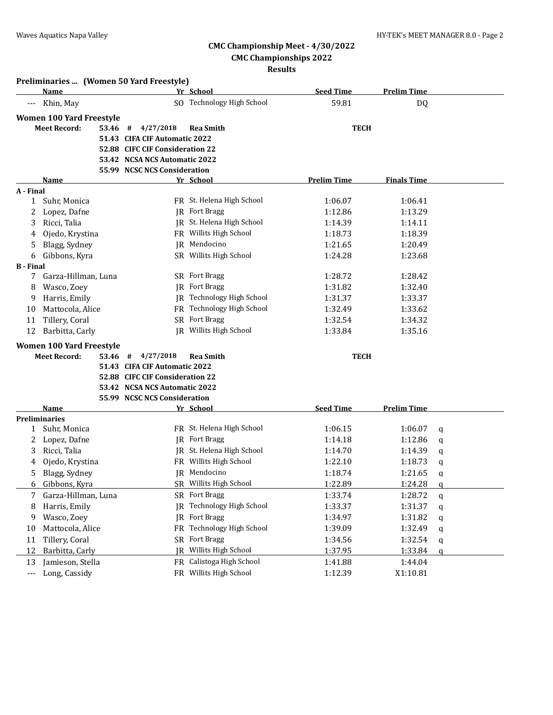**Preliminaries ... (Women 50 Yard Freestyle)**

# **CMC Championship Meet - 4/30/2022**

**CMC Championships 2022**

|                  | Name                            |                                 | Yr School                 | <b>Seed Time</b>   | <b>Prelim Time</b> |   |
|------------------|---------------------------------|---------------------------------|---------------------------|--------------------|--------------------|---|
|                  | Khin, May                       |                                 | SO Technology High School | 59.81              | DQ                 |   |
|                  | <b>Women 100 Yard Freestyle</b> |                                 |                           |                    |                    |   |
|                  | <b>Meet Record:</b><br>53.46    | 4/27/2018<br>#                  | <b>Rea Smith</b>          | <b>TECH</b>        |                    |   |
|                  |                                 | 51.43 CIFA CIF Automatic 2022   |                           |                    |                    |   |
|                  |                                 | 52.88 CIFC CIF Consideration 22 |                           |                    |                    |   |
|                  |                                 | 53.42 NCSA NCS Automatic 2022   |                           |                    |                    |   |
|                  |                                 | 55.99 NCSC NCS Consideration    |                           |                    |                    |   |
|                  | Name                            |                                 | Yr School                 | <b>Prelim Time</b> | <b>Finals Time</b> |   |
| A - Final        |                                 |                                 |                           |                    |                    |   |
| 1                | Suhr, Monica                    |                                 | FR St. Helena High School | 1:06.07            | 1:06.41            |   |
| 2                | Lopez, Dafne                    |                                 | JR Fort Bragg             | 1:12.86            | 1:13.29            |   |
| 3                | Ricci, Talia                    |                                 | JR St. Helena High School | 1:14.39            | 1:14.11            |   |
| 4                | Ojedo, Krystina                 |                                 | FR Willits High School    | 1:18.73            | 1:18.39            |   |
| 5                | Blagg, Sydney                   |                                 | JR Mendocino              | 1:21.65            | 1:20.49            |   |
| 6                | Gibbons, Kyra                   |                                 | SR Willits High School    | 1:24.28            | 1:23.68            |   |
| <b>B</b> - Final |                                 |                                 |                           |                    |                    |   |
| 7                | Garza-Hillman, Luna             |                                 | SR Fort Bragg             | 1:28.72            | 1:28.42            |   |
| 8                | Wasco, Zoey                     |                                 | JR Fort Bragg             | 1:31.82            | 1:32.40            |   |
| 9                | Harris, Emily                   |                                 | JR Technology High School | 1:31.37            | 1:33.37            |   |
| 10               | Mattocola, Alice                |                                 | FR Technology High School | 1:32.49            | 1:33.62            |   |
| 11               | Tillery, Coral                  |                                 | SR Fort Bragg             | 1:32.54            | 1:34.32            |   |
| 12               | Barbitta, Carly                 |                                 | JR Willits High School    | 1:33.84            | 1:35.16            |   |
|                  | <b>Women 100 Yard Freestyle</b> |                                 |                           |                    |                    |   |
|                  | <b>Meet Record:</b><br>53.46 #  | 4/27/2018                       | <b>Rea Smith</b>          | <b>TECH</b>        |                    |   |
|                  |                                 | 51.43 CIFA CIF Automatic 2022   |                           |                    |                    |   |
|                  |                                 | 52.88 CIFC CIF Consideration 22 |                           |                    |                    |   |
|                  |                                 | 53.42 NCSA NCS Automatic 2022   |                           |                    |                    |   |
|                  |                                 | 55.99 NCSC NCS Consideration    |                           |                    |                    |   |
|                  | Name                            |                                 | Yr School                 | <b>Seed Time</b>   | <b>Prelim Time</b> |   |
|                  | <b>Preliminaries</b>            |                                 |                           |                    |                    |   |
| 1                | Suhr, Monica                    |                                 | FR St. Helena High School | 1:06.15            | 1:06.07            | q |
| 2                | Lopez, Dafne                    |                                 | <b>JR</b> Fort Bragg      | 1:14.18            | 1:12.86            | q |
| 3                | Ricci, Talia                    |                                 | JR St. Helena High School | 1:14.70            | 1:14.39            | q |
| 4                | Ojedo, Krystina                 |                                 | FR Willits High School    | 1:22.10            | 1:18.73            | q |
| 5                | Blagg, Sydney                   |                                 | JR Mendocino              | 1:18.74            | 1:21.65            | q |
| 6                | Gibbons, Kyra                   |                                 | SR Willits High School    | 1:22.89            | 1:24.28            | a |
|                  | Garza-Hillman, Luna             |                                 | SR Fort Bragg             | 1:33.74            | 1:28.72            | q |
| 8                | Harris, Emily                   | IR                              | Technology High School    | 1:33.37            | 1:31.37            | q |
| 9                | Wasco, Zoey                     | IR                              | Fort Bragg                | 1:34.97            | 1:31.82            | q |
| 10               | Mattocola, Alice                | FR                              | Technology High School    | 1:39.09            | 1:32.49            | q |
| 11               | Tillery, Coral                  | SR                              | Fort Bragg                | 1:34.56            | 1:32.54            | q |
| 12               | Barbitta, Carly                 | IR                              | Willits High School       | 1:37.95            | 1:33.84            | q |
| 13               | Jamieson, Stella                | FR                              | Calistoga High School     | 1:41.88            | 1:44.04            |   |
| $\cdots$         | Long, Cassidy                   |                                 | FR Willits High School    | 1:12.39            | X1:10.81           |   |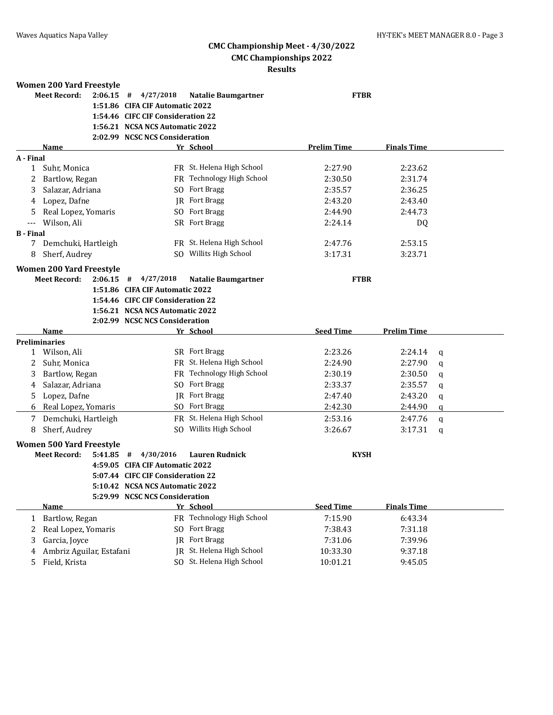|                  | <b>Women 200 Yard Freestyle</b>                                   |                                   |                            |                    |                    |              |
|------------------|-------------------------------------------------------------------|-----------------------------------|----------------------------|--------------------|--------------------|--------------|
|                  | <b>Meet Record:</b><br>2:06.15                                    | 4/27/2018<br>#                    | <b>Natalie Baumgartner</b> | <b>FTBR</b>        |                    |              |
|                  |                                                                   | 1:51.86 CIFA CIF Automatic 2022   |                            |                    |                    |              |
|                  |                                                                   | 1:54.46 CIFC CIF Consideration 22 |                            |                    |                    |              |
|                  |                                                                   | 1:56.21 NCSA NCS Automatic 2022   |                            |                    |                    |              |
|                  |                                                                   | 2:02.99 NCSC NCS Consideration    |                            |                    |                    |              |
|                  | Name                                                              |                                   | Yr School                  | <b>Prelim Time</b> | <b>Finals Time</b> |              |
| A - Final        |                                                                   |                                   |                            |                    |                    |              |
| $\mathbf{1}$     | Suhr, Monica                                                      |                                   | FR St. Helena High School  | 2:27.90            | 2:23.62            |              |
| 2                | Bartlow, Regan                                                    |                                   | FR Technology High School  | 2:30.50            | 2:31.74            |              |
| 3                | Salazar, Adriana                                                  |                                   | SO Fort Bragg              | 2:35.57            | 2:36.25            |              |
| 4                | Lopez, Dafne                                                      |                                   | JR Fort Bragg              | 2:43.20            | 2:43.40            |              |
| 5.               | Real Lopez, Yomaris                                               |                                   | SO Fort Bragg              | 2:44.90            | 2:44.73            |              |
| ---              | Wilson, Ali                                                       |                                   | SR Fort Bragg              | 2:24.14            | DQ                 |              |
| <b>B</b> - Final |                                                                   |                                   |                            |                    |                    |              |
| 7                | Demchuki, Hartleigh                                               |                                   | FR St. Helena High School  | 2:47.76            | 2:53.15            |              |
| 8                | Sherf, Audrey                                                     |                                   | SO Willits High School     | 3:17.31            | 3:23.71            |              |
|                  | <b>Women 200 Yard Freestyle</b>                                   |                                   |                            |                    |                    |              |
|                  | <b>Meet Record:</b><br>2:06.15                                    | 4/27/2018<br>#                    | <b>Natalie Baumgartner</b> | <b>FTBR</b>        |                    |              |
|                  |                                                                   | 1:51.86 CIFA CIF Automatic 2022   |                            |                    |                    |              |
|                  |                                                                   | 1:54.46 CIFC CIF Consideration 22 |                            |                    |                    |              |
|                  |                                                                   | 1:56.21 NCSA NCS Automatic 2022   |                            |                    |                    |              |
|                  |                                                                   | 2:02.99 NCSC NCS Consideration    |                            |                    |                    |              |
|                  |                                                                   |                                   |                            |                    |                    |              |
|                  | Name                                                              |                                   | Yr School                  | <b>Seed Time</b>   | <b>Prelim Time</b> |              |
|                  | <b>Preliminaries</b>                                              |                                   |                            |                    |                    |              |
|                  | 1 Wilson, Ali                                                     |                                   | SR Fort Bragg              | 2:23.26            | 2:24.14            | $\mathbf q$  |
| 2                | Suhr, Monica                                                      |                                   | FR St. Helena High School  | 2:24.90            | 2:27.90            | q            |
| 3                | Bartlow, Regan                                                    |                                   | FR Technology High School  | 2:30.19            | 2:30.50            | q            |
| 4                | Salazar, Adriana                                                  |                                   | SO Fort Bragg              | 2:33.37            | 2:35.57            | q            |
| 5                | Lopez, Dafne                                                      |                                   | <b>JR</b> Fort Bragg       | 2:47.40            | 2:43.20            | q            |
|                  | 6 Real Lopez, Yomaris                                             |                                   | SO Fort Bragg              | 2:42.30            | 2:44.90            | $\mathbf q$  |
|                  | 7 Demchuki, Hartleigh                                             |                                   | FR St. Helena High School  | 2:53.16            | 2:47.76            | $\mathsf{q}$ |
| 8                | Sherf, Audrey                                                     |                                   | SO Willits High School     | 3:26.67            | 3:17.31            | q            |
|                  |                                                                   |                                   |                            |                    |                    |              |
|                  | <b>Women 500 Yard Freestyle</b><br><b>Meet Record:</b><br>5:41.85 | 4/30/2016<br>#                    | <b>Lauren Rudnick</b>      | <b>KYSH</b>        |                    |              |
|                  |                                                                   | 4:59.05 CIFA CIF Automatic 2022   |                            |                    |                    |              |
|                  |                                                                   | 5:07.44 CIFC CIF Consideration 22 |                            |                    |                    |              |
|                  |                                                                   | 5:10.42 NCSA NCS Automatic 2022   |                            |                    |                    |              |
|                  |                                                                   | 5:29.99 NCSC NCS Consideration    |                            |                    |                    |              |
|                  | <b>Name</b>                                                       |                                   | Yr School                  | <b>Seed Time</b>   | <b>Finals Time</b> |              |
| 1                | Bartlow, Regan                                                    |                                   | FR Technology High School  | 7:15.90            | 6:43.34            |              |
| 2                | Real Lopez, Yomaris                                               |                                   | SO Fort Bragg              | 7:38.43            | 7:31.18            |              |
| 3                | Garcia, Joyce                                                     | IR                                | <b>Fort Bragg</b>          | 7:31.06            | 7:39.96            |              |
| 4                | Ambriz Aguilar, Estafani                                          |                                   | JR St. Helena High School  | 10:33.30           | 9:37.18            |              |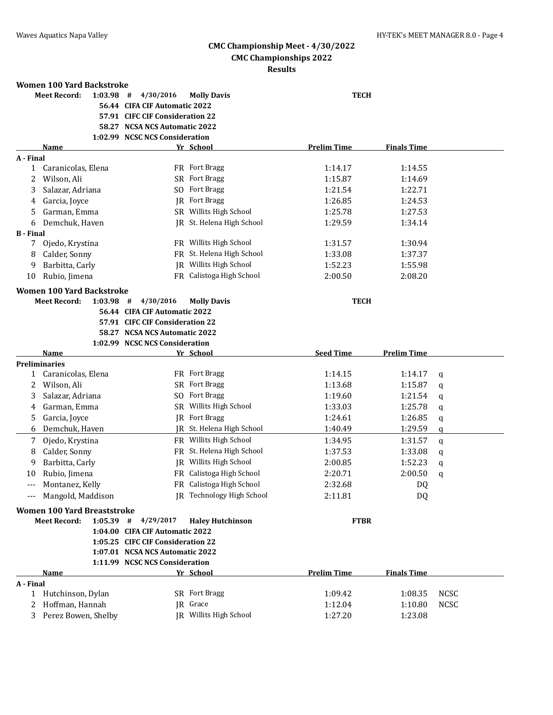|                  | Women 100 Yard Backstroke        |                                 |                           |                    |                    |
|------------------|----------------------------------|---------------------------------|---------------------------|--------------------|--------------------|
|                  | <b>Meet Record:</b><br>1:03.98   | 4/30/2016<br>#                  | <b>Molly Davis</b>        | <b>TECH</b>        |                    |
|                  |                                  | 56.44 CIFA CIF Automatic 2022   |                           |                    |                    |
|                  |                                  | 57.91 CIFC CIF Consideration 22 |                           |                    |                    |
|                  |                                  | 58.27 NCSA NCS Automatic 2022   |                           |                    |                    |
|                  |                                  | 1:02.99 NCSC NCS Consideration  |                           |                    |                    |
|                  | <b>Name</b>                      |                                 | Yr School                 | <b>Prelim Time</b> | <b>Finals Time</b> |
| A - Final        |                                  |                                 |                           |                    |                    |
| 1                | Caranicolas, Elena               |                                 | FR Fort Bragg             | 1:14.17            | 1:14.55            |
| 2                | Wilson, Ali                      |                                 | SR Fort Bragg             | 1:15.87            | 1:14.69            |
| 3                | Salazar, Adriana                 | SO.                             | <b>Fort Bragg</b>         | 1:21.54            | 1:22.71            |
| 4                | Garcia, Joyce                    | <b>IR</b>                       | <b>Fort Bragg</b>         | 1:26.85            | 1:24.53            |
| 5                | Garman, Emma                     |                                 | SR Willits High School    | 1:25.78            | 1:27.53            |
| 6                | Demchuk, Haven                   |                                 | JR St. Helena High School | 1:29.59            | 1:34.14            |
| <b>B</b> - Final |                                  |                                 |                           |                    |                    |
| 7                | Ojedo, Krystina                  |                                 | FR Willits High School    | 1:31.57            | 1:30.94            |
| 8                | Calder, Sonny                    |                                 | FR St. Helena High School | 1:33.08            | 1:37.37            |
| 9                | Barbitta, Carly                  |                                 | IR Willits High School    | 1:52.23            | 1:55.98            |
| 10               | Rubio, Jimena                    |                                 | FR Calistoga High School  | 2:00.50            | 2:08.20            |
|                  | <b>Women 100 Yard Backstroke</b> |                                 |                           |                    |                    |
|                  | <b>Meet Record:</b><br>1:03.98   | 4/30/2016<br>#                  | <b>Molly Davis</b>        | <b>TECH</b>        |                    |
|                  |                                  | 56.44 CIFA CIF Automatic 2022   |                           |                    |                    |
|                  |                                  | 57.91 CIFC CIF Consideration 22 |                           |                    |                    |
|                  |                                  | 58.27 NCSA NCS Automatic 2022   |                           |                    |                    |
|                  |                                  | 1:02.99 NCSC NCS Consideration  |                           |                    |                    |
|                  | <b>Name</b>                      |                                 | Yr School                 | <b>Seed Time</b>   | <b>Prelim Time</b> |
|                  | <b>Preliminaries</b>             |                                 |                           |                    |                    |
| 1                | Caranicolas, Elena               |                                 | FR Fort Bragg             | 1:14.15            | 1:14.17<br>q       |
| 2                | Wilson, Ali                      | SR.                             | <b>Fort Bragg</b>         | 1:13.68            | 1:15.87<br>q       |
| 3                | Salazar, Adriana                 | SO.                             | <b>Fort Bragg</b>         | 1:19.60            | 1:21.54<br>q       |
| 4                | Garman, Emma                     |                                 | SR Willits High School    | 1:33.03            | 1:25.78<br>q       |
| 5                | Garcia, Joyce                    |                                 | JR Fort Bragg             | 1:24.61            | 1:26.85<br>q       |

|           | Garman, Emma                       |                                   | SR Willits High School        | 1:33.03            | 1:25.78            | a           |
|-----------|------------------------------------|-----------------------------------|-------------------------------|--------------------|--------------------|-------------|
| 5.        | Garcia, Joyce                      |                                   | JR Fort Bragg                 | 1:24.61            | 1:26.85            | a           |
| 6         | Demchuk, Haven                     | IR                                | St. Helena High School        | 1:40.49            | 1:29.59            | a           |
| 7         | Ojedo, Krystina                    |                                   | FR Willits High School        | 1:34.95            | 1:31.57            | a           |
| 8         | Calder, Sonny                      | FR.                               | St. Helena High School        | 1:37.53            | 1:33.08            | a           |
| 9         | Barbitta, Carly                    | IR                                | Willits High School           | 2:00.85            | 1:52.23            | a           |
| 10        | Rubio, Jimena                      | FR                                | Calistoga High School         | 2:20.71            | 2:00.50            | q           |
| $---$     | Montanez, Kelly                    | FR                                | Calistoga High School         | 2:32.68            | DQ                 |             |
| $---$     | Mangold, Maddison                  | IR                                | <b>Technology High School</b> | 2:11.81            | DQ                 |             |
|           | <b>Women 100 Yard Breaststroke</b> |                                   |                               |                    |                    |             |
|           | <b>Meet Record:</b><br>$1:05.39$ # | 4/29/2017                         | <b>Haley Hutchinson</b>       | <b>FTBR</b>        |                    |             |
|           |                                    | 1:04.00 CIFA CIF Automatic 2022   |                               |                    |                    |             |
|           |                                    | 1:05.25 CIFC CIF Consideration 22 |                               |                    |                    |             |
|           |                                    | 1:07.01 NCSA NCS Automatic 2022   |                               |                    |                    |             |
|           |                                    | 1:11.99 NCSC NCS Consideration    |                               |                    |                    |             |
|           | Name                               |                                   | Yr School                     | <b>Prelim Time</b> | <b>Finals Time</b> |             |
| A - Final |                                    |                                   |                               |                    |                    |             |
|           | Hutchinson, Dylan                  |                                   | SR Fort Bragg                 | 1:09.42            | 1:08.35            | <b>NCSC</b> |
|           | Hoffman, Hannah                    |                                   | JR Grace                      | 1:12.04            | 1:10.80            | <b>NCSC</b> |

3 Perez Bowen, Shelby JR Willits High School 1:27.20 1:23.08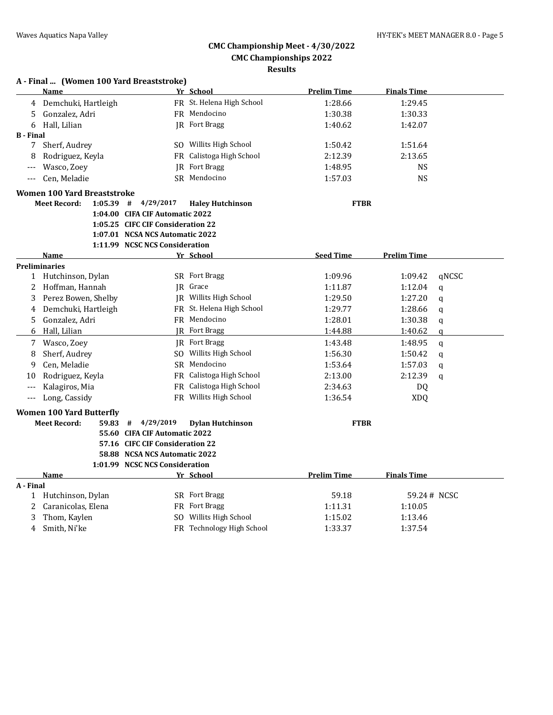#### **A - Final ... (Women 100 Yard Breaststroke) Name Yr School Prelim Time Finals Time** 4 Demchuki, Hartleigh FR St. Helena High School 1:28.66 1:29.45 5 Gonzalez, Adri FR Mendocino 1:30.38 1:30.33 6 Hall, Lilian 1:42.07 (R Fort Bragg 1:40.62 1:42.07 1:42.07 1:42.07 1:42.07 1:42 **B - Final** 7 Sherf, Audrey SO Willits High School 1:50.42 1:51.64 8 Rodriguez, Keyla FR Calistoga High School 2:12.39 2:13.65 --- Wasco, Zoey JR Fort Bragg 1:48.95 NS --- Cen, Meladie SR Mendocino 1:57.03 NS **Women 100 Yard Breaststroke Meet Record: 1:05.39 # 4/29/2017 Haley Hutchinson FTBR 1:04.00 CIFA CIF Automatic 2022 1:05.25 CIFC CIF Consideration 22 1:07.01 NCSA NCS Automatic 2022 1:11.99 NCSC NCS Consideration Name Seed Time Prelim Time Prelim Time Seed Time Prelim Time Preliminaries** 1 Hutchinson, Dylan SR Fort Bragg 1:09.96 1:09.42 qNCSC 2 Hoffman, Hannah JR Grace 1:11.87 1:12.04 q 3 Perez Bowen, Shelby JR Willits High School 1:29.50 1:27.20 q 4 Demchuki, Hartleigh FR St. Helena High School 1:29.77 1:28.66 q 5 Gonzalez, Adri FR Mendocino 1:28.01 1:30.38 q 6 Hall, Lilian JR Fort Bragg 1:44.88 1:40.62 q 7 Wasco, Zoey JR Fort Bragg 1:43.48 1:48.95 q 8 Sherf, Audrey SO Willits High School 1:56.30 1:50.42 q 9 Cen, Meladie SR Mendocino 1:53.64 1:57.03 q 10 Rodriguez, Keyla FR Calistoga High School 2:13.00 2:12.39 q --- Kalagiros, Mia FR Calistoga High School 2:34.63 DQ --- Long, Cassidy FR Willits High School 1:36.54 XDQ **Women 100 Yard Butterfly Meet Record: 59.83 # 4/29/2019 Dylan Hutchinson FTBR 55.60 CIFA CIF Automatic 2022 57.16 CIFC CIF Consideration 22 58.88 NCSA NCS Automatic 2022 1:01.99 NCSC NCS Consideration Name Yr School Prelim Time Finals Time A - Final** 1 Hutchinson, Dylan SR Fort Bragg 59.18 59.24# NCSC 2 Caranicolas, Elena **FR Fort Bragg 1:11.31** 1:10.05 3 Thom, Kaylen SO Willits High School 1:15.02 1:13.46 4 Smith, Ni'ke **FR** Technology High School 1:33.37 1:37.54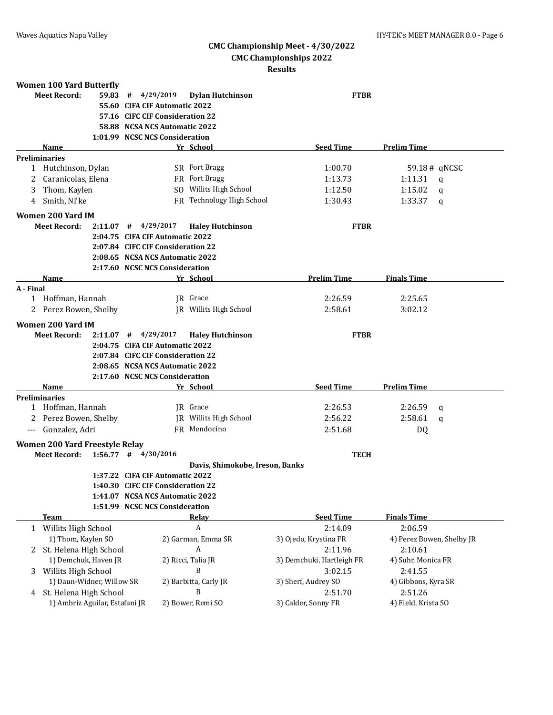| <b>Women 100 Yard Butterfly</b>       |                                |                                   |                                 |                           |                           |
|---------------------------------------|--------------------------------|-----------------------------------|---------------------------------|---------------------------|---------------------------|
| <b>Meet Record:</b>                   | 59.83                          | 4/29/2019<br>#                    | <b>Dylan Hutchinson</b>         | <b>FTBR</b>               |                           |
|                                       |                                | 55.60 CIFA CIF Automatic 2022     |                                 |                           |                           |
|                                       |                                | 57.16 CIFC CIF Consideration 22   |                                 |                           |                           |
|                                       |                                | 58.88 NCSA NCS Automatic 2022     |                                 |                           |                           |
|                                       |                                | 1:01.99 NCSC NCS Consideration    |                                 |                           |                           |
| Name                                  |                                |                                   | Yr School                       | <b>Seed Time</b>          | <b>Prelim Time</b>        |
| <b>Preliminaries</b>                  |                                |                                   |                                 |                           |                           |
| 1 Hutchinson, Dylan                   |                                |                                   | SR Fort Bragg                   | 1:00.70                   | 59.18# qNCSC              |
| 2 Caranicolas, Elena                  |                                |                                   | FR Fort Bragg                   | 1:13.73                   | 1:11.31<br>$\mathsf{q}$   |
| Thom, Kaylen<br>3.                    |                                |                                   | SO Willits High School          | 1:12.50                   | 1:15.02<br>q              |
| Smith, Ni'ke<br>4                     |                                |                                   | FR Technology High School       | 1:30.43                   | 1:33.37<br>q              |
| Women 200 Yard IM                     |                                |                                   |                                 |                           |                           |
| Meet Record:                          |                                | $2:11.07$ # $4/29/2017$           | <b>Haley Hutchinson</b>         | <b>FTBR</b>               |                           |
|                                       |                                | 2:04.75 CIFA CIF Automatic 2022   |                                 |                           |                           |
|                                       |                                | 2:07.84 CIFC CIF Consideration 22 |                                 |                           |                           |
|                                       |                                | 2:08.65 NCSA NCS Automatic 2022   |                                 |                           |                           |
|                                       |                                | 2:17.60 NCSC NCS Consideration    |                                 |                           |                           |
| <b>Name</b>                           |                                |                                   | Yr School                       | <b>Prelim Time</b>        | <b>Finals Time</b>        |
| A - Final                             |                                |                                   |                                 |                           |                           |
| 1 Hoffman, Hannah                     |                                |                                   | IR Grace                        | 2:26.59                   | 2:25.65                   |
| 2 Perez Bowen, Shelby                 |                                |                                   | JR Willits High School          | 2:58.61                   | 3:02.12                   |
|                                       |                                |                                   |                                 |                           |                           |
| Women 200 Yard IM                     |                                |                                   |                                 |                           |                           |
| <b>Meet Record:</b>                   |                                | $2:11.07$ # $4/29/2017$           | <b>Haley Hutchinson</b>         | <b>FTBR</b>               |                           |
|                                       |                                | 2:04.75 CIFA CIF Automatic 2022   |                                 |                           |                           |
|                                       |                                | 2:07.84 CIFC CIF Consideration 22 |                                 |                           |                           |
|                                       |                                | 2:08.65 NCSA NCS Automatic 2022   |                                 |                           |                           |
|                                       |                                | 2:17.60 NCSC NCS Consideration    |                                 |                           |                           |
| <b>Name</b>                           |                                |                                   | Yr School                       | <b>Seed Time</b>          | <b>Prelim Time</b>        |
| <b>Preliminaries</b>                  |                                |                                   |                                 |                           |                           |
| 1 Hoffman, Hannah                     |                                |                                   | IR Grace                        | 2:26.53                   | 2:26.59<br>a              |
| Perez Bowen, Shelby                   |                                |                                   | <b>IR</b> Willits High School   | 2:56.22                   | 2:58.61<br>a              |
| Gonzalez, Adri                        |                                |                                   | FR Mendocino                    | 2:51.68                   | DQ                        |
| <b>Women 200 Yard Freestyle Relay</b> |                                |                                   |                                 |                           |                           |
| Meet Record:                          |                                | $1:56.77$ # $4/30/2016$           |                                 | <b>TECH</b>               |                           |
|                                       |                                |                                   | Davis, Shimokobe, Ireson, Banks |                           |                           |
|                                       |                                | 1:37.22 CIFA CIF Automatic 2022   |                                 |                           |                           |
|                                       |                                | 1:40.30 CIFC CIF Consideration 22 |                                 |                           |                           |
|                                       |                                | 1:41.07 NCSA NCS Automatic 2022   |                                 |                           |                           |
|                                       |                                | 1:51.99 NCSC NCS Consideration    |                                 |                           |                           |
| <b>Team</b>                           |                                |                                   | <u>Relav</u>                    | <b>Seed Time</b>          | <b>Finals Time</b>        |
| 1 Willits High School                 |                                |                                   | A                               | 2:14.09                   | 2:06.59                   |
| 1) Thom, Kaylen SO                    |                                |                                   | 2) Garman, Emma SR              | 3) Ojedo, Krystina FR     | 4) Perez Bowen, Shelby JR |
| 2 St. Helena High School              |                                |                                   | A                               | 2:11.96                   | 2:10.61                   |
|                                       | 1) Demchuk, Haven JR           |                                   | 2) Ricci, Talia JR              | 3) Demchuki, Hartleigh FR | 4) Suhr, Monica FR        |
| 3 Willits High School                 |                                |                                   | B                               | 3:02.15                   | 2:41.55                   |
|                                       | 1) Daun-Widner, Willow SR      |                                   | 2) Barbitta, Carly JR           | 3) Sherf, Audrey SO       |                           |
|                                       |                                |                                   | B                               |                           | 4) Gibbons, Kyra SR       |
| 4 St. Helena High School              |                                |                                   |                                 | 2:51.70                   | 2:51.26                   |
|                                       | 1) Ambriz Aguilar, Estafani JR |                                   | 2) Bower, Remi SO               | 3) Calder, Sonny FR       | 4) Field, Krista SO       |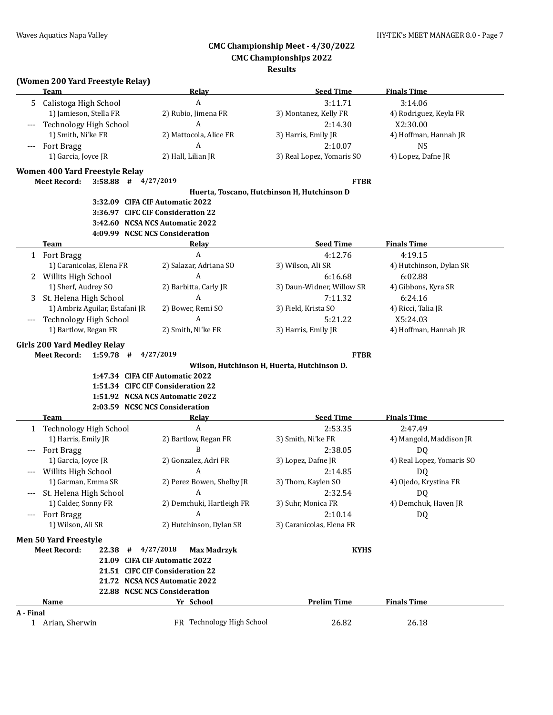#### **Results**

## **(Women 200 Yard Freestyle Relay)**

| <b>Team</b>                  |                                | Relay                                                                | <b>Seed Time</b>          | <b>Finals Time</b>        |
|------------------------------|--------------------------------|----------------------------------------------------------------------|---------------------------|---------------------------|
|                              | 5 Calistoga High School        | $\mathbf{A}$                                                         | 3:11.71                   | 3:14.06                   |
|                              | 1) Jamieson, Stella FR         | 2) Rubio, Jimena FR                                                  | 3) Montanez, Kelly FR     | 4) Rodriguez, Keyla FR    |
|                              | Technology High School         | A                                                                    | 2:14.30                   | X2:30.00                  |
|                              | 1) Smith, Ni'ke FR             | 2) Mattocola, Alice FR                                               | 3) Harris, Emily JR       | 4) Hoffman, Hannah JR     |
| <b>Fort Bragg</b>            |                                | A                                                                    | 2:10.07                   | <b>NS</b>                 |
|                              | 1) Garcia, Joyce JR            | 2) Hall, Lilian JR                                                   | 3) Real Lopez, Yomaris SO | 4) Lopez, Dafne JR        |
|                              |                                |                                                                      |                           |                           |
|                              | Women 400 Yard Freestyle Relay |                                                                      |                           |                           |
| <b>Meet Record:</b>          |                                | $3:58.88$ # $4/27/2019$                                              | <b>FTBR</b>               |                           |
|                              |                                | Huerta, Toscano, Hutchinson H, Hutchinson D                          |                           |                           |
|                              |                                | 3:32.09 CIFA CIF Automatic 2022                                      |                           |                           |
|                              |                                | 3:36.97 CIFC CIF Consideration 22                                    |                           |                           |
|                              |                                | 3:42.60 NCSA NCS Automatic 2022                                      |                           |                           |
|                              |                                | 4:09.99 NCSC NCS Consideration                                       |                           |                           |
| <b>Team</b>                  |                                | Relay                                                                | <b>Seed Time</b>          | <b>Finals Time</b>        |
| 1 Fort Bragg                 |                                | $\boldsymbol{A}$                                                     | 4:12.76                   | 4:19.15                   |
|                              | 1) Caranicolas, Elena FR       | 2) Salazar, Adriana SO                                               | 3) Wilson, Ali SR         | 4) Hutchinson, Dylan SR   |
| 2                            | Willits High School            | A                                                                    | 6:16.68                   | 6:02.88                   |
|                              | 1) Sherf, Audrey SO            | 2) Barbitta, Carly JR                                                | 3) Daun-Widner, Willow SR | 4) Gibbons, Kyra SR       |
| 3                            | St. Helena High School         | A                                                                    | 7:11.32                   | 6:24.16                   |
|                              | 1) Ambriz Aguilar, Estafani JR | 2) Bower, Remi SO                                                    | 3) Field, Krista SO       | 4) Ricci, Talia JR        |
|                              | Technology High School         | A                                                                    | 5:21.22                   | X5:24.03                  |
|                              | 1) Bartlow, Regan FR           | 2) Smith, Ni'ke FR                                                   | 3) Harris, Emily JR       | 4) Hoffman, Hannah JR     |
|                              |                                | 1:51.34 CIFC CIF Consideration 22<br>1:51.92 NCSA NCS Automatic 2022 |                           |                           |
|                              |                                | 2:03.59 NCSC NCS Consideration                                       |                           |                           |
| <b>Team</b>                  |                                | Relay                                                                | <b>Seed Time</b>          | <b>Finals Time</b>        |
|                              | 1 Technology High School       | $\boldsymbol{A}$                                                     | 2:53.35                   | 2:47.49                   |
|                              | 1) Harris, Emily JR            | 2) Bartlow, Regan FR                                                 | 3) Smith, Ni'ke FR        | 4) Mangold, Maddison JR   |
| <b>Fort Bragg</b><br>$---$   |                                | B                                                                    | 2:38.05                   | DQ                        |
|                              | 1) Garcia, Joyce JR            | 2) Gonzalez, Adri FR                                                 | 3) Lopez, Dafne JR        | 4) Real Lopez, Yomaris SO |
|                              | Willits High School            | A                                                                    | 2:14.85                   | DQ                        |
|                              | 1) Garman, Emma SR             | 2) Perez Bowen, Shelby JR                                            | 3) Thom, Kaylen SO        | 4) Ojedo, Krystina FR     |
|                              | St. Helena High School         | $\Delta$                                                             | 2:32.54                   | DQ                        |
|                              | 1) Calder, Sonny FR            | 2) Demchuki, Hartleigh FR                                            | 3) Suhr, Monica FR        | 4) Demchuk, Haven JR      |
| <b>Fort Bragg</b>            |                                | A                                                                    | 2:10.14                   | DQ                        |
|                              | 1) Wilson, Ali SR              | 2) Hutchinson, Dylan SR                                              | 3) Caranicolas, Elena FR  |                           |
| <b>Men 50 Yard Freestyle</b> |                                |                                                                      |                           |                           |
| <b>Meet Record:</b>          |                                | 22.38 # 4/27/2018<br><b>Max Madrzyk</b>                              | <b>KYHS</b>               |                           |
|                              |                                | 21.09 CIFA CIF Automatic 2022                                        |                           |                           |
|                              |                                | 21.51 CIFC CIF Consideration 22                                      |                           |                           |
|                              |                                | 21.72 NCSA NCS Automatic 2022                                        |                           |                           |
|                              |                                | 22.88 NCSC NCS Consideration                                         |                           |                           |
| <b>Name</b>                  |                                | Yr School                                                            | <b>Prelim Time</b>        | <b>Finals Time</b>        |
| A - Final                    |                                |                                                                      |                           |                           |
| 1 Arian, Sherwin             |                                | FR Technology High School                                            | 26.82                     | 26.18                     |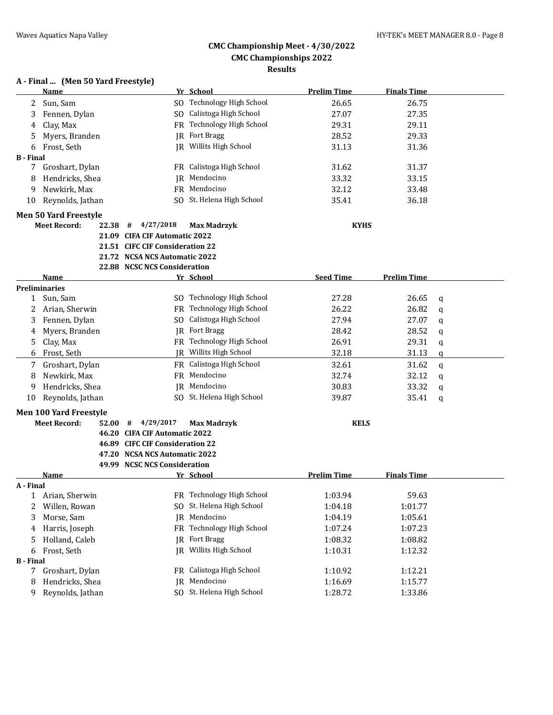## **A - Final ... (Men 50 Yard Freestyle)**

|                  | <b>Name</b>                   |                                 | Yr School                     | <b>Prelim Time</b> | <b>Finals Time</b> |   |
|------------------|-------------------------------|---------------------------------|-------------------------------|--------------------|--------------------|---|
| 2                | Sun, Sam                      |                                 | SO Technology High School     | 26.65              | 26.75              |   |
| 3                | Fennen, Dylan                 |                                 | SO Calistoga High School      | 27.07              | 27.35              |   |
| 4                | Clay, Max                     |                                 | FR Technology High School     | 29.31              | 29.11              |   |
| 5                | Myers, Branden                |                                 | <b>IR</b> Fort Bragg          | 28.52              | 29.33              |   |
| 6                | Frost, Seth                   |                                 | <b>IR</b> Willits High School | 31.13              | 31.36              |   |
| <b>B</b> - Final |                               |                                 |                               |                    |                    |   |
| 7                | Groshart, Dylan               |                                 | FR Calistoga High School      | 31.62              | 31.37              |   |
| 8                | Hendricks, Shea               |                                 | JR Mendocino                  | 33.32              | 33.15              |   |
| 9                | Newkirk, Max                  |                                 | FR Mendocino                  | 32.12              | 33.48              |   |
| 10               | Reynolds, Jathan              |                                 | SO St. Helena High School     | 35.41              | 36.18              |   |
|                  | <b>Men 50 Yard Freestyle</b>  |                                 |                               |                    |                    |   |
|                  | <b>Meet Record:</b><br>22.38  | #<br>4/27/2018                  | <b>Max Madrzyk</b>            | <b>KYHS</b>        |                    |   |
|                  |                               | 21.09 CIFA CIF Automatic 2022   |                               |                    |                    |   |
|                  |                               | 21.51 CIFC CIF Consideration 22 |                               |                    |                    |   |
|                  |                               | 21.72 NCSA NCS Automatic 2022   |                               |                    |                    |   |
|                  |                               | 22.88 NCSC NCS Consideration    |                               |                    |                    |   |
|                  | Name                          |                                 | Yr School                     | <b>Seed Time</b>   | <b>Prelim Time</b> |   |
|                  | <b>Preliminaries</b>          |                                 |                               |                    |                    |   |
| $\mathbf{1}$     | Sun, Sam                      |                                 | SO Technology High School     | 27.28              | 26.65              | q |
| 2                | Arian, Sherwin                |                                 | FR Technology High School     | 26.22              | 26.82              | q |
| 3                | Fennen, Dylan                 |                                 | SO Calistoga High School      | 27.94              | 27.07              | q |
| 4                | Myers, Branden                |                                 | JR Fort Bragg                 | 28.42              | 28.52              | q |
| 5                | Clay, Max                     |                                 | FR Technology High School     | 26.91              | 29.31              | q |
| 6                | Frost, Seth                   |                                 | JR Willits High School        | 32.18              | 31.13              | q |
| 7                | Groshart, Dylan               |                                 | FR Calistoga High School      | 32.61              | 31.62              | q |
| 8                | Newkirk, Max                  |                                 | FR Mendocino                  | 32.74              | 32.12              | q |
| 9                | Hendricks, Shea               |                                 | JR Mendocino                  | 30.83              | 33.32              | q |
| 10               | Reynolds, Jathan              |                                 | SO St. Helena High School     | 39.87              | 35.41              | q |
|                  | <b>Men 100 Yard Freestyle</b> |                                 |                               |                    |                    |   |
|                  | <b>Meet Record:</b><br>52.00  | 4/29/2017<br>#                  | <b>Max Madrzyk</b>            | <b>KELS</b>        |                    |   |
|                  |                               | 46.20 CIFA CIF Automatic 2022   |                               |                    |                    |   |
|                  |                               | 46.89 CIFC CIF Consideration 22 |                               |                    |                    |   |
|                  |                               | 47.20 NCSA NCS Automatic 2022   |                               |                    |                    |   |
|                  |                               | 49.99 NCSC NCS Consideration    |                               |                    |                    |   |
|                  | Name                          |                                 | Yr School                     | <b>Prelim Time</b> | <b>Finals Time</b> |   |
| A - Final        |                               |                                 |                               |                    |                    |   |
| 1                | Arian, Sherwin                |                                 | FR Technology High School     | 1:03.94            | 59.63              |   |
| 2                | Willen, Rowan                 |                                 | SO St. Helena High School     | 1:04.18            | 1:01.77            |   |
| 3                | Morse, Sam                    |                                 | JR Mendocino                  | 1:04.19            | 1:05.61            |   |
| 4                | Harris, Joseph                | FR                              | Technology High School        | 1:07.24            | 1:07.23            |   |
| 5                | Holland, Caleb                | IR                              | Fort Bragg                    | 1:08.32            | 1:08.82            |   |
| 6                | Frost, Seth                   | IR                              | Willits High School           | 1:10.31            | 1:12.32            |   |
| <b>B</b> - Final |                               |                                 |                               |                    |                    |   |
| 7                | Groshart, Dylan               |                                 | FR Calistoga High School      | 1:10.92            | 1:12.21            |   |
| 8                | Hendricks, Shea               | IR                              | Mendocino                     | 1:16.69            | 1:15.77            |   |
| 9                | Reynolds, Jathan              |                                 | SO St. Helena High School     | 1:28.72            | 1:33.86            |   |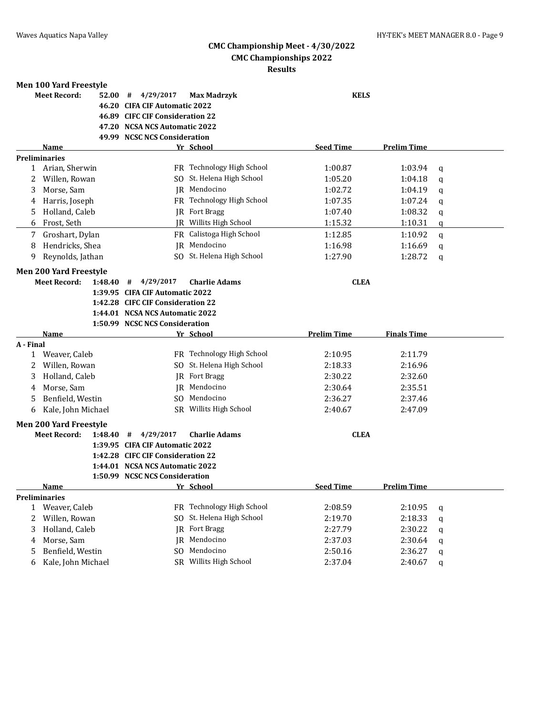|              | <b>Men 100 Yard Freestyle</b>                        |         |                                   |                                     |                    |                    |              |
|--------------|------------------------------------------------------|---------|-----------------------------------|-------------------------------------|--------------------|--------------------|--------------|
|              | <b>Meet Record:</b>                                  | 52.00   | 4/29/2017<br>#                    | <b>Max Madrzyk</b>                  | <b>KELS</b>        |                    |              |
|              |                                                      |         | 46.20 CIFA CIF Automatic 2022     |                                     |                    |                    |              |
|              |                                                      |         | 46.89 CIFC CIF Consideration 22   |                                     |                    |                    |              |
|              |                                                      | 47.20   | <b>NCSA NCS Automatic 2022</b>    |                                     |                    |                    |              |
|              |                                                      |         | 49.99 NCSC NCS Consideration      |                                     |                    |                    |              |
|              | Name                                                 |         |                                   | Yr School                           | <b>Seed Time</b>   | <b>Prelim Time</b> |              |
|              | <b>Preliminaries</b>                                 |         |                                   | FR Technology High School           |                    | 1:03.94            |              |
| 2            | 1 Arian, Sherwin<br>Willen, Rowan                    |         |                                   | St. Helena High School              | 1:00.87<br>1:05.20 | 1:04.18            | q            |
|              |                                                      |         | SO.                               | JR Mendocino                        |                    |                    | q            |
| 3            | Morse, Sam                                           |         |                                   | FR Technology High School           | 1:02.72<br>1:07.35 | 1:04.19            | q            |
| 4            | Harris, Joseph                                       |         |                                   |                                     |                    | 1:07.24            | q            |
| 5            | Holland, Caleb                                       |         |                                   | <b>JR</b> Fort Bragg                | 1:07.40            | 1:08.32            | q            |
| 6            | Frost, Seth                                          |         |                                   | JR Willits High School              | 1:15.32            | 1:10.31            | $\mathbf{q}$ |
| 7            | Groshart, Dylan                                      |         |                                   | FR Calistoga High School            | 1:12.85            | 1:10.92            | q            |
| 8            | Hendricks, Shea                                      |         | IR                                | Mendocino                           | 1:16.98            | 1:16.69            | q            |
| 9            | Reynolds, Jathan                                     |         |                                   | SO St. Helena High School           | 1:27.90            | 1:28.72            | q            |
|              | <b>Men 200 Yard Freestyle</b>                        |         |                                   |                                     |                    |                    |              |
|              | <b>Meet Record:</b>                                  | 1:48.40 | 4/29/2017<br>#                    | <b>Charlie Adams</b>                | <b>CLEA</b>        |                    |              |
|              |                                                      |         | 1:39.95 CIFA CIF Automatic 2022   |                                     |                    |                    |              |
|              |                                                      |         | 1:42.28 CIFC CIF Consideration 22 |                                     |                    |                    |              |
|              |                                                      |         | 1:44.01 NCSA NCS Automatic 2022   |                                     |                    |                    |              |
|              |                                                      |         |                                   |                                     |                    |                    |              |
|              |                                                      |         | 1:50.99 NCSC NCS Consideration    |                                     |                    |                    |              |
|              | Name                                                 |         |                                   | Yr School                           | <b>Prelim Time</b> | <b>Finals Time</b> |              |
| A - Final    |                                                      |         |                                   |                                     |                    |                    |              |
|              | 1 Weaver, Caleb                                      |         |                                   | FR Technology High School           | 2:10.95            | 2:11.79            |              |
| 2            | Willen, Rowan                                        |         |                                   | SO St. Helena High School           | 2:18.33            | 2:16.96            |              |
| 3            | Holland, Caleb                                       |         |                                   | <b>IR</b> Fort Bragg                | 2:30.22            | 2:32.60            |              |
| 4            | Morse, Sam                                           |         |                                   | IR Mendocino                        | 2:30.64            | 2:35.51            |              |
| 5            | Benfield, Westin                                     |         | SO.                               | Mendocino                           | 2:36.27            | 2:37.46            |              |
| 6            | Kale, John Michael                                   |         |                                   | SR Willits High School              | 2:40.67            | 2:47.09            |              |
|              |                                                      |         |                                   |                                     |                    |                    |              |
|              | <b>Men 200 Yard Freestyle</b><br><b>Meet Record:</b> | 1:48.40 | 4/29/2017<br>#                    | <b>Charlie Adams</b>                | <b>CLEA</b>        |                    |              |
|              |                                                      |         | 1:39.95 CIFA CIF Automatic 2022   |                                     |                    |                    |              |
|              |                                                      |         | 1:42.28 CIFC CIF Consideration 22 |                                     |                    |                    |              |
|              |                                                      |         | 1:44.01 NCSA NCS Automatic 2022   |                                     |                    |                    |              |
|              |                                                      |         | 1:50.99 NCSC NCS Consideration    |                                     |                    |                    |              |
|              | <b>Name</b>                                          |         |                                   | Yr School                           | <b>Seed Time</b>   | <b>Prelim Time</b> |              |
|              | <b>Preliminaries</b>                                 |         |                                   |                                     |                    |                    |              |
| $\mathbf{1}$ | Weaver, Caleb                                        |         |                                   | FR Technology High School           | 2:08.59            | 2:10.95            | q            |
| 2            | Willen, Rowan                                        |         | SO.                               | St. Helena High School              | 2:19.70            | 2:18.33            | q            |
| 3            | Holland, Caleb                                       |         | IR                                | Fort Bragg                          | 2:27.79            | 2:30.22            | q            |
| 4            | Morse, Sam                                           |         | IR                                | Mendocino                           | 2:37.03            | 2:30.64            | q            |
| 5            | Benfield, Westin<br>Kale, John Michael               |         | SO.                               | Mendocino<br>SR Willits High School | 2:50.16<br>2:37.04 | 2:36.27<br>2:40.67 | q            |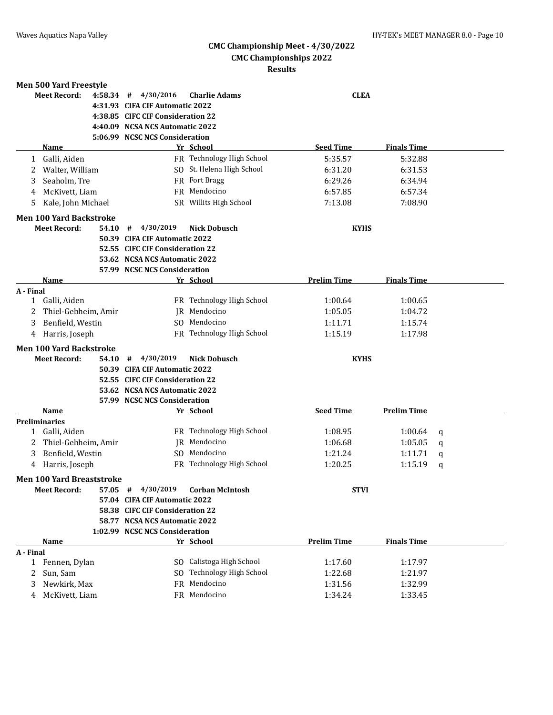| 4/30/2016<br><b>Meet Record:</b><br>4:58.34<br>#<br><b>Charlie Adams</b><br><b>CLEA</b><br>4:31.93 CIFA CIF Automatic 2022<br>4:38.85 CIFC CIF Consideration 22<br>4:40.09 NCSA NCS Automatic 2022<br>5:06.99 NCSC NCS Consideration<br><b>Seed Time</b><br><b>Finals Time</b><br>Name<br>Yr School<br>FR Technology High School<br>Galli, Aiden<br>5:35.57<br>5:32.88<br>1<br>SO St. Helena High School<br>Walter, William<br>6:31.20<br>6:31.53<br>FR Fort Bragg<br>Seaholm, Tre<br>6:29.26<br>3<br>6:34.94<br>FR Mendocino<br>McKivett, Liam<br>6:57.34<br>6:57.85<br>4<br>SR Willits High School<br>Kale, John Michael<br>7:13.08<br>7:08.90<br>5.<br><b>Meet Record:</b><br>4/30/2019<br>54.10<br>#<br><b>Nick Dobusch</b><br><b>KYHS</b><br>50.39 CIFA CIF Automatic 2022<br>52.55 CIFC CIF Consideration 22<br>53.62 NCSA NCS Automatic 2022<br>57.99 NCSC NCS Consideration<br>Yr School<br><b>Prelim Time</b><br><b>Finals Time</b><br><b>Name</b><br>FR Technology High School<br>Galli, Aiden<br>1:00.64<br>1<br>1:00.65<br>IR Mendocino<br>1:05.05<br>Thiel-Gebheim, Amir<br>1:04.72<br>2<br>SO Mendocino<br>1:15.74<br>3<br>Benfield, Westin<br>1:11.71<br>FR Technology High School<br>1:15.19<br>1:17.98<br>4 Harris, Joseph<br><b>Men 100 Yard Backstroke</b><br><b>Meet Record:</b><br>4/30/2019<br>54.10<br><b>Nick Dobusch</b><br><b>KYHS</b><br>#<br>50.39 CIFA CIF Automatic 2022<br>52.55 CIFC CIF Consideration 22<br>53.62 NCSA NCS Automatic 2022<br>57.99 NCSC NCS Consideration<br><b>Seed Time</b><br><b>Prelim Time</b><br>Name<br>Yr School<br>FR Technology High School<br>Galli, Aiden<br>1:08.95<br>1:00.64<br>1<br>q<br>IR Mendocino<br>Thiel-Gebheim, Amir<br>1:06.68<br>1:05.05<br>2<br>q<br>SO Mendocino<br>Benfield, Westin<br>3<br>1:21.24<br>1:11.71<br>q<br>FR Technology High School<br>1:20.25<br>4 Harris, Joseph<br>1:15.19<br>q<br><b>Men 100 Yard Breaststroke</b><br><b>Meet Record:</b><br>4/30/2019<br><b>Corban McIntosh</b><br><b>STVI</b><br>57.05<br>#<br>57.04 CIFA CIF Automatic 2022<br>58.38 CIFC CIF Consideration 22<br>58.77 NCSA NCS Automatic 2022<br>1:02.99 NCSC NCS Consideration<br>Yr School<br><b>Prelim Time</b><br><b>Finals Time</b><br>Name<br>1 Fennen, Dylan<br>SO Calistoga High School<br>1:17.60<br>1:17.97<br>SO Technology High School<br>Sun, Sam<br>1:22.68<br>1:21.97<br>2<br>FR Mendocino<br>Newkirk, Max<br>1:31.56<br>1:32.99<br>3<br>FR Mendocino | <b>Men 500 Yard Freestyle</b>  |  |         |         |  |
|------------------------------------------------------------------------------------------------------------------------------------------------------------------------------------------------------------------------------------------------------------------------------------------------------------------------------------------------------------------------------------------------------------------------------------------------------------------------------------------------------------------------------------------------------------------------------------------------------------------------------------------------------------------------------------------------------------------------------------------------------------------------------------------------------------------------------------------------------------------------------------------------------------------------------------------------------------------------------------------------------------------------------------------------------------------------------------------------------------------------------------------------------------------------------------------------------------------------------------------------------------------------------------------------------------------------------------------------------------------------------------------------------------------------------------------------------------------------------------------------------------------------------------------------------------------------------------------------------------------------------------------------------------------------------------------------------------------------------------------------------------------------------------------------------------------------------------------------------------------------------------------------------------------------------------------------------------------------------------------------------------------------------------------------------------------------------------------------------------------------------------------------------------------------------------------------------------------------------------------------------------------------------------------------------------------------------------------------------------------------------------------------------------------------------------------|--------------------------------|--|---------|---------|--|
|                                                                                                                                                                                                                                                                                                                                                                                                                                                                                                                                                                                                                                                                                                                                                                                                                                                                                                                                                                                                                                                                                                                                                                                                                                                                                                                                                                                                                                                                                                                                                                                                                                                                                                                                                                                                                                                                                                                                                                                                                                                                                                                                                                                                                                                                                                                                                                                                                                          |                                |  |         |         |  |
|                                                                                                                                                                                                                                                                                                                                                                                                                                                                                                                                                                                                                                                                                                                                                                                                                                                                                                                                                                                                                                                                                                                                                                                                                                                                                                                                                                                                                                                                                                                                                                                                                                                                                                                                                                                                                                                                                                                                                                                                                                                                                                                                                                                                                                                                                                                                                                                                                                          |                                |  |         |         |  |
|                                                                                                                                                                                                                                                                                                                                                                                                                                                                                                                                                                                                                                                                                                                                                                                                                                                                                                                                                                                                                                                                                                                                                                                                                                                                                                                                                                                                                                                                                                                                                                                                                                                                                                                                                                                                                                                                                                                                                                                                                                                                                                                                                                                                                                                                                                                                                                                                                                          |                                |  |         |         |  |
|                                                                                                                                                                                                                                                                                                                                                                                                                                                                                                                                                                                                                                                                                                                                                                                                                                                                                                                                                                                                                                                                                                                                                                                                                                                                                                                                                                                                                                                                                                                                                                                                                                                                                                                                                                                                                                                                                                                                                                                                                                                                                                                                                                                                                                                                                                                                                                                                                                          |                                |  |         |         |  |
|                                                                                                                                                                                                                                                                                                                                                                                                                                                                                                                                                                                                                                                                                                                                                                                                                                                                                                                                                                                                                                                                                                                                                                                                                                                                                                                                                                                                                                                                                                                                                                                                                                                                                                                                                                                                                                                                                                                                                                                                                                                                                                                                                                                                                                                                                                                                                                                                                                          |                                |  |         |         |  |
|                                                                                                                                                                                                                                                                                                                                                                                                                                                                                                                                                                                                                                                                                                                                                                                                                                                                                                                                                                                                                                                                                                                                                                                                                                                                                                                                                                                                                                                                                                                                                                                                                                                                                                                                                                                                                                                                                                                                                                                                                                                                                                                                                                                                                                                                                                                                                                                                                                          |                                |  |         |         |  |
|                                                                                                                                                                                                                                                                                                                                                                                                                                                                                                                                                                                                                                                                                                                                                                                                                                                                                                                                                                                                                                                                                                                                                                                                                                                                                                                                                                                                                                                                                                                                                                                                                                                                                                                                                                                                                                                                                                                                                                                                                                                                                                                                                                                                                                                                                                                                                                                                                                          |                                |  |         |         |  |
|                                                                                                                                                                                                                                                                                                                                                                                                                                                                                                                                                                                                                                                                                                                                                                                                                                                                                                                                                                                                                                                                                                                                                                                                                                                                                                                                                                                                                                                                                                                                                                                                                                                                                                                                                                                                                                                                                                                                                                                                                                                                                                                                                                                                                                                                                                                                                                                                                                          |                                |  |         |         |  |
|                                                                                                                                                                                                                                                                                                                                                                                                                                                                                                                                                                                                                                                                                                                                                                                                                                                                                                                                                                                                                                                                                                                                                                                                                                                                                                                                                                                                                                                                                                                                                                                                                                                                                                                                                                                                                                                                                                                                                                                                                                                                                                                                                                                                                                                                                                                                                                                                                                          |                                |  |         |         |  |
|                                                                                                                                                                                                                                                                                                                                                                                                                                                                                                                                                                                                                                                                                                                                                                                                                                                                                                                                                                                                                                                                                                                                                                                                                                                                                                                                                                                                                                                                                                                                                                                                                                                                                                                                                                                                                                                                                                                                                                                                                                                                                                                                                                                                                                                                                                                                                                                                                                          |                                |  |         |         |  |
|                                                                                                                                                                                                                                                                                                                                                                                                                                                                                                                                                                                                                                                                                                                                                                                                                                                                                                                                                                                                                                                                                                                                                                                                                                                                                                                                                                                                                                                                                                                                                                                                                                                                                                                                                                                                                                                                                                                                                                                                                                                                                                                                                                                                                                                                                                                                                                                                                                          |                                |  |         |         |  |
|                                                                                                                                                                                                                                                                                                                                                                                                                                                                                                                                                                                                                                                                                                                                                                                                                                                                                                                                                                                                                                                                                                                                                                                                                                                                                                                                                                                                                                                                                                                                                                                                                                                                                                                                                                                                                                                                                                                                                                                                                                                                                                                                                                                                                                                                                                                                                                                                                                          | <b>Men 100 Yard Backstroke</b> |  |         |         |  |
|                                                                                                                                                                                                                                                                                                                                                                                                                                                                                                                                                                                                                                                                                                                                                                                                                                                                                                                                                                                                                                                                                                                                                                                                                                                                                                                                                                                                                                                                                                                                                                                                                                                                                                                                                                                                                                                                                                                                                                                                                                                                                                                                                                                                                                                                                                                                                                                                                                          |                                |  |         |         |  |
|                                                                                                                                                                                                                                                                                                                                                                                                                                                                                                                                                                                                                                                                                                                                                                                                                                                                                                                                                                                                                                                                                                                                                                                                                                                                                                                                                                                                                                                                                                                                                                                                                                                                                                                                                                                                                                                                                                                                                                                                                                                                                                                                                                                                                                                                                                                                                                                                                                          |                                |  |         |         |  |
|                                                                                                                                                                                                                                                                                                                                                                                                                                                                                                                                                                                                                                                                                                                                                                                                                                                                                                                                                                                                                                                                                                                                                                                                                                                                                                                                                                                                                                                                                                                                                                                                                                                                                                                                                                                                                                                                                                                                                                                                                                                                                                                                                                                                                                                                                                                                                                                                                                          |                                |  |         |         |  |
|                                                                                                                                                                                                                                                                                                                                                                                                                                                                                                                                                                                                                                                                                                                                                                                                                                                                                                                                                                                                                                                                                                                                                                                                                                                                                                                                                                                                                                                                                                                                                                                                                                                                                                                                                                                                                                                                                                                                                                                                                                                                                                                                                                                                                                                                                                                                                                                                                                          |                                |  |         |         |  |
|                                                                                                                                                                                                                                                                                                                                                                                                                                                                                                                                                                                                                                                                                                                                                                                                                                                                                                                                                                                                                                                                                                                                                                                                                                                                                                                                                                                                                                                                                                                                                                                                                                                                                                                                                                                                                                                                                                                                                                                                                                                                                                                                                                                                                                                                                                                                                                                                                                          |                                |  |         |         |  |
|                                                                                                                                                                                                                                                                                                                                                                                                                                                                                                                                                                                                                                                                                                                                                                                                                                                                                                                                                                                                                                                                                                                                                                                                                                                                                                                                                                                                                                                                                                                                                                                                                                                                                                                                                                                                                                                                                                                                                                                                                                                                                                                                                                                                                                                                                                                                                                                                                                          |                                |  |         |         |  |
|                                                                                                                                                                                                                                                                                                                                                                                                                                                                                                                                                                                                                                                                                                                                                                                                                                                                                                                                                                                                                                                                                                                                                                                                                                                                                                                                                                                                                                                                                                                                                                                                                                                                                                                                                                                                                                                                                                                                                                                                                                                                                                                                                                                                                                                                                                                                                                                                                                          | A - Final                      |  |         |         |  |
|                                                                                                                                                                                                                                                                                                                                                                                                                                                                                                                                                                                                                                                                                                                                                                                                                                                                                                                                                                                                                                                                                                                                                                                                                                                                                                                                                                                                                                                                                                                                                                                                                                                                                                                                                                                                                                                                                                                                                                                                                                                                                                                                                                                                                                                                                                                                                                                                                                          |                                |  |         |         |  |
|                                                                                                                                                                                                                                                                                                                                                                                                                                                                                                                                                                                                                                                                                                                                                                                                                                                                                                                                                                                                                                                                                                                                                                                                                                                                                                                                                                                                                                                                                                                                                                                                                                                                                                                                                                                                                                                                                                                                                                                                                                                                                                                                                                                                                                                                                                                                                                                                                                          |                                |  |         |         |  |
|                                                                                                                                                                                                                                                                                                                                                                                                                                                                                                                                                                                                                                                                                                                                                                                                                                                                                                                                                                                                                                                                                                                                                                                                                                                                                                                                                                                                                                                                                                                                                                                                                                                                                                                                                                                                                                                                                                                                                                                                                                                                                                                                                                                                                                                                                                                                                                                                                                          |                                |  |         |         |  |
|                                                                                                                                                                                                                                                                                                                                                                                                                                                                                                                                                                                                                                                                                                                                                                                                                                                                                                                                                                                                                                                                                                                                                                                                                                                                                                                                                                                                                                                                                                                                                                                                                                                                                                                                                                                                                                                                                                                                                                                                                                                                                                                                                                                                                                                                                                                                                                                                                                          |                                |  |         |         |  |
|                                                                                                                                                                                                                                                                                                                                                                                                                                                                                                                                                                                                                                                                                                                                                                                                                                                                                                                                                                                                                                                                                                                                                                                                                                                                                                                                                                                                                                                                                                                                                                                                                                                                                                                                                                                                                                                                                                                                                                                                                                                                                                                                                                                                                                                                                                                                                                                                                                          |                                |  |         |         |  |
|                                                                                                                                                                                                                                                                                                                                                                                                                                                                                                                                                                                                                                                                                                                                                                                                                                                                                                                                                                                                                                                                                                                                                                                                                                                                                                                                                                                                                                                                                                                                                                                                                                                                                                                                                                                                                                                                                                                                                                                                                                                                                                                                                                                                                                                                                                                                                                                                                                          |                                |  |         |         |  |
|                                                                                                                                                                                                                                                                                                                                                                                                                                                                                                                                                                                                                                                                                                                                                                                                                                                                                                                                                                                                                                                                                                                                                                                                                                                                                                                                                                                                                                                                                                                                                                                                                                                                                                                                                                                                                                                                                                                                                                                                                                                                                                                                                                                                                                                                                                                                                                                                                                          |                                |  |         |         |  |
|                                                                                                                                                                                                                                                                                                                                                                                                                                                                                                                                                                                                                                                                                                                                                                                                                                                                                                                                                                                                                                                                                                                                                                                                                                                                                                                                                                                                                                                                                                                                                                                                                                                                                                                                                                                                                                                                                                                                                                                                                                                                                                                                                                                                                                                                                                                                                                                                                                          |                                |  |         |         |  |
|                                                                                                                                                                                                                                                                                                                                                                                                                                                                                                                                                                                                                                                                                                                                                                                                                                                                                                                                                                                                                                                                                                                                                                                                                                                                                                                                                                                                                                                                                                                                                                                                                                                                                                                                                                                                                                                                                                                                                                                                                                                                                                                                                                                                                                                                                                                                                                                                                                          |                                |  |         |         |  |
|                                                                                                                                                                                                                                                                                                                                                                                                                                                                                                                                                                                                                                                                                                                                                                                                                                                                                                                                                                                                                                                                                                                                                                                                                                                                                                                                                                                                                                                                                                                                                                                                                                                                                                                                                                                                                                                                                                                                                                                                                                                                                                                                                                                                                                                                                                                                                                                                                                          |                                |  |         |         |  |
|                                                                                                                                                                                                                                                                                                                                                                                                                                                                                                                                                                                                                                                                                                                                                                                                                                                                                                                                                                                                                                                                                                                                                                                                                                                                                                                                                                                                                                                                                                                                                                                                                                                                                                                                                                                                                                                                                                                                                                                                                                                                                                                                                                                                                                                                                                                                                                                                                                          |                                |  |         |         |  |
|                                                                                                                                                                                                                                                                                                                                                                                                                                                                                                                                                                                                                                                                                                                                                                                                                                                                                                                                                                                                                                                                                                                                                                                                                                                                                                                                                                                                                                                                                                                                                                                                                                                                                                                                                                                                                                                                                                                                                                                                                                                                                                                                                                                                                                                                                                                                                                                                                                          | <b>Preliminaries</b>           |  |         |         |  |
|                                                                                                                                                                                                                                                                                                                                                                                                                                                                                                                                                                                                                                                                                                                                                                                                                                                                                                                                                                                                                                                                                                                                                                                                                                                                                                                                                                                                                                                                                                                                                                                                                                                                                                                                                                                                                                                                                                                                                                                                                                                                                                                                                                                                                                                                                                                                                                                                                                          |                                |  |         |         |  |
|                                                                                                                                                                                                                                                                                                                                                                                                                                                                                                                                                                                                                                                                                                                                                                                                                                                                                                                                                                                                                                                                                                                                                                                                                                                                                                                                                                                                                                                                                                                                                                                                                                                                                                                                                                                                                                                                                                                                                                                                                                                                                                                                                                                                                                                                                                                                                                                                                                          |                                |  |         |         |  |
|                                                                                                                                                                                                                                                                                                                                                                                                                                                                                                                                                                                                                                                                                                                                                                                                                                                                                                                                                                                                                                                                                                                                                                                                                                                                                                                                                                                                                                                                                                                                                                                                                                                                                                                                                                                                                                                                                                                                                                                                                                                                                                                                                                                                                                                                                                                                                                                                                                          |                                |  |         |         |  |
|                                                                                                                                                                                                                                                                                                                                                                                                                                                                                                                                                                                                                                                                                                                                                                                                                                                                                                                                                                                                                                                                                                                                                                                                                                                                                                                                                                                                                                                                                                                                                                                                                                                                                                                                                                                                                                                                                                                                                                                                                                                                                                                                                                                                                                                                                                                                                                                                                                          |                                |  |         |         |  |
|                                                                                                                                                                                                                                                                                                                                                                                                                                                                                                                                                                                                                                                                                                                                                                                                                                                                                                                                                                                                                                                                                                                                                                                                                                                                                                                                                                                                                                                                                                                                                                                                                                                                                                                                                                                                                                                                                                                                                                                                                                                                                                                                                                                                                                                                                                                                                                                                                                          |                                |  |         |         |  |
|                                                                                                                                                                                                                                                                                                                                                                                                                                                                                                                                                                                                                                                                                                                                                                                                                                                                                                                                                                                                                                                                                                                                                                                                                                                                                                                                                                                                                                                                                                                                                                                                                                                                                                                                                                                                                                                                                                                                                                                                                                                                                                                                                                                                                                                                                                                                                                                                                                          |                                |  |         |         |  |
|                                                                                                                                                                                                                                                                                                                                                                                                                                                                                                                                                                                                                                                                                                                                                                                                                                                                                                                                                                                                                                                                                                                                                                                                                                                                                                                                                                                                                                                                                                                                                                                                                                                                                                                                                                                                                                                                                                                                                                                                                                                                                                                                                                                                                                                                                                                                                                                                                                          |                                |  |         |         |  |
|                                                                                                                                                                                                                                                                                                                                                                                                                                                                                                                                                                                                                                                                                                                                                                                                                                                                                                                                                                                                                                                                                                                                                                                                                                                                                                                                                                                                                                                                                                                                                                                                                                                                                                                                                                                                                                                                                                                                                                                                                                                                                                                                                                                                                                                                                                                                                                                                                                          |                                |  |         |         |  |
|                                                                                                                                                                                                                                                                                                                                                                                                                                                                                                                                                                                                                                                                                                                                                                                                                                                                                                                                                                                                                                                                                                                                                                                                                                                                                                                                                                                                                                                                                                                                                                                                                                                                                                                                                                                                                                                                                                                                                                                                                                                                                                                                                                                                                                                                                                                                                                                                                                          |                                |  |         |         |  |
|                                                                                                                                                                                                                                                                                                                                                                                                                                                                                                                                                                                                                                                                                                                                                                                                                                                                                                                                                                                                                                                                                                                                                                                                                                                                                                                                                                                                                                                                                                                                                                                                                                                                                                                                                                                                                                                                                                                                                                                                                                                                                                                                                                                                                                                                                                                                                                                                                                          |                                |  |         |         |  |
|                                                                                                                                                                                                                                                                                                                                                                                                                                                                                                                                                                                                                                                                                                                                                                                                                                                                                                                                                                                                                                                                                                                                                                                                                                                                                                                                                                                                                                                                                                                                                                                                                                                                                                                                                                                                                                                                                                                                                                                                                                                                                                                                                                                                                                                                                                                                                                                                                                          |                                |  |         |         |  |
|                                                                                                                                                                                                                                                                                                                                                                                                                                                                                                                                                                                                                                                                                                                                                                                                                                                                                                                                                                                                                                                                                                                                                                                                                                                                                                                                                                                                                                                                                                                                                                                                                                                                                                                                                                                                                                                                                                                                                                                                                                                                                                                                                                                                                                                                                                                                                                                                                                          | A - Final                      |  |         |         |  |
|                                                                                                                                                                                                                                                                                                                                                                                                                                                                                                                                                                                                                                                                                                                                                                                                                                                                                                                                                                                                                                                                                                                                                                                                                                                                                                                                                                                                                                                                                                                                                                                                                                                                                                                                                                                                                                                                                                                                                                                                                                                                                                                                                                                                                                                                                                                                                                                                                                          |                                |  |         |         |  |
|                                                                                                                                                                                                                                                                                                                                                                                                                                                                                                                                                                                                                                                                                                                                                                                                                                                                                                                                                                                                                                                                                                                                                                                                                                                                                                                                                                                                                                                                                                                                                                                                                                                                                                                                                                                                                                                                                                                                                                                                                                                                                                                                                                                                                                                                                                                                                                                                                                          |                                |  |         |         |  |
|                                                                                                                                                                                                                                                                                                                                                                                                                                                                                                                                                                                                                                                                                                                                                                                                                                                                                                                                                                                                                                                                                                                                                                                                                                                                                                                                                                                                                                                                                                                                                                                                                                                                                                                                                                                                                                                                                                                                                                                                                                                                                                                                                                                                                                                                                                                                                                                                                                          |                                |  |         |         |  |
|                                                                                                                                                                                                                                                                                                                                                                                                                                                                                                                                                                                                                                                                                                                                                                                                                                                                                                                                                                                                                                                                                                                                                                                                                                                                                                                                                                                                                                                                                                                                                                                                                                                                                                                                                                                                                                                                                                                                                                                                                                                                                                                                                                                                                                                                                                                                                                                                                                          | McKivett, Liam<br>4            |  | 1:34.24 | 1:33.45 |  |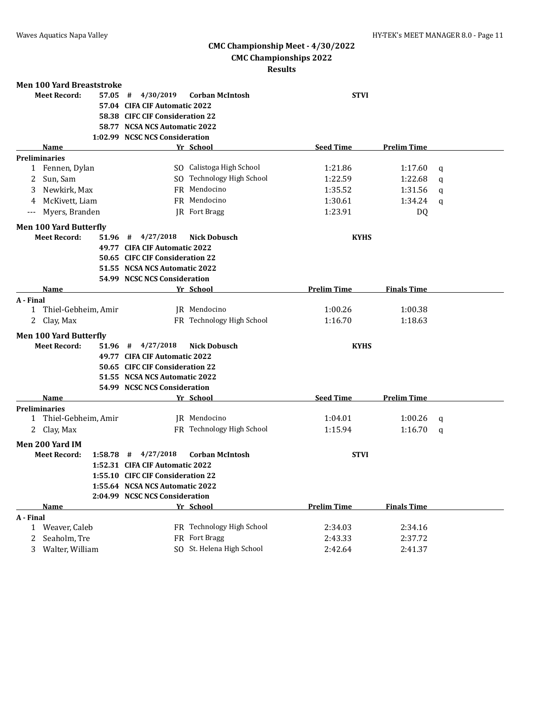| <b>Men 100 Yard Breaststroke</b>    |                                   |                              |                    |                    |   |  |
|-------------------------------------|-----------------------------------|------------------------------|--------------------|--------------------|---|--|
| <b>Meet Record:</b>                 | 4/30/2019<br>$57.05$ #            | <b>Corban McIntosh</b>       |                    | <b>STVI</b>        |   |  |
|                                     | 57.04 CIFA CIF Automatic 2022     |                              |                    |                    |   |  |
|                                     | 58.38 CIFC CIF Consideration 22   |                              |                    |                    |   |  |
|                                     | 58.77 NCSA NCS Automatic 2022     |                              |                    |                    |   |  |
|                                     | 1:02.99 NCSC NCS Consideration    |                              |                    |                    |   |  |
| <b>Name</b>                         |                                   | Yr School                    | <b>Seed Time</b>   | <b>Prelim Time</b> |   |  |
| <b>Preliminaries</b>                |                                   |                              |                    |                    |   |  |
| 1 Fennen, Dylan                     |                                   | SO Calistoga High School     | 1:21.86            | 1:17.60            | q |  |
| Sun, Sam<br>2                       |                                   | SO Technology High School    | 1:22.59            | 1:22.68            | q |  |
| Newkirk, Max<br>3                   |                                   | FR Mendocino                 | 1:35.52            | 1:31.56            | q |  |
| McKivett, Liam<br>4                 |                                   | FR Mendocino                 | 1:30.61            | 1:34.24            | q |  |
| Myers, Branden<br>$---$             |                                   | JR Fort Bragg                | 1:23.91            | DQ                 |   |  |
| <b>Men 100 Yard Butterfly</b>       |                                   |                              |                    |                    |   |  |
| <b>Meet Record:</b>                 | $51.96$ # $4/27/2018$             | <b>Nick Dobusch</b>          | <b>KYHS</b>        |                    |   |  |
|                                     | 49.77 CIFA CIF Automatic 2022     |                              |                    |                    |   |  |
|                                     | 50.65 CIFC CIF Consideration 22   |                              |                    |                    |   |  |
|                                     | 51.55 NCSA NCS Automatic 2022     |                              |                    |                    |   |  |
|                                     | 54.99 NCSC NCS Consideration      |                              |                    |                    |   |  |
| Name                                |                                   | Yr School                    | <b>Prelim Time</b> | <b>Finals Time</b> |   |  |
| A - Final                           |                                   |                              |                    |                    |   |  |
| Thiel-Gebheim, Amir<br>$\mathbf{1}$ |                                   | IR Mendocino                 | 1:00.26            | 1:00.38            |   |  |
| 2 Clay, Max                         |                                   | FR Technology High School    | 1:16.70            | 1:18.63            |   |  |
| <b>Men 100 Yard Butterfly</b>       |                                   |                              |                    |                    |   |  |
| <b>Meet Record:</b>                 | $51.96$ # $4/27/2018$             | <b>Nick Dobusch</b>          | <b>KYHS</b>        |                    |   |  |
|                                     | 49.77 CIFA CIF Automatic 2022     |                              |                    |                    |   |  |
|                                     | 50.65 CIFC CIF Consideration 22   |                              |                    |                    |   |  |
|                                     | 51.55 NCSA NCS Automatic 2022     |                              |                    |                    |   |  |
|                                     |                                   | 54.99 NCSC NCS Consideration |                    |                    |   |  |
| Name                                |                                   | Yr School                    | <b>Seed Time</b>   | <b>Prelim Time</b> |   |  |
| <b>Preliminaries</b>                |                                   |                              |                    |                    |   |  |
| Thiel-Gebheim, Amir<br>1            |                                   | JR Mendocino                 | 1:04.01            | 1:00.26            | q |  |
| 2<br>Clay, Max                      |                                   | FR Technology High School    | 1:15.94            | 1:16.70            | q |  |
| Men 200 Yard IM                     |                                   |                              |                    |                    |   |  |
| <b>Meet Record:</b>                 | $1:58.78$ # $4/27/2018$           | <b>Corban McIntosh</b>       | <b>STVI</b>        |                    |   |  |
|                                     | 1:52.31 CIFA CIF Automatic 2022   |                              |                    |                    |   |  |
|                                     | 1:55.10 CIFC CIF Consideration 22 |                              |                    |                    |   |  |
|                                     | 1:55.64 NCSA NCS Automatic 2022   |                              |                    |                    |   |  |
|                                     | 2:04.99 NCSC NCS Consideration    |                              |                    |                    |   |  |
| <b>Name</b>                         |                                   | Yr School                    | <b>Prelim Time</b> | <b>Finals Time</b> |   |  |
| A - Final                           |                                   |                              |                    |                    |   |  |
| 1 Weaver, Caleb                     |                                   | FR Technology High School    | 2:34.03            | 2:34.16            |   |  |
| 2<br>Seaholm, Tre                   |                                   | FR Fort Bragg                | 2:43.33            | 2:37.72            |   |  |
| 3 Walter, William                   |                                   | SO St. Helena High School    | 2:42.64            | 2:41.37            |   |  |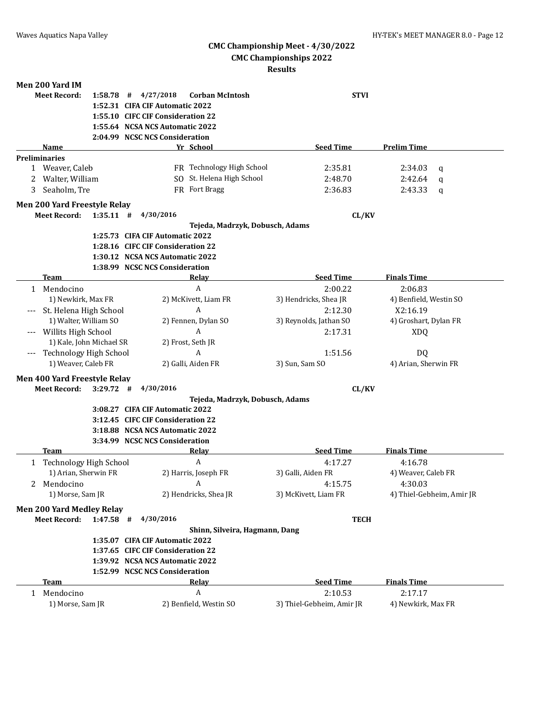# **CMC Championship Meet - 4/30/2022**

# **CMC Championships 2022**

| Men 200 Yard IM                               |                                                     |                                   |                                 |                           |                        |                           |
|-----------------------------------------------|-----------------------------------------------------|-----------------------------------|---------------------------------|---------------------------|------------------------|---------------------------|
| <b>Meet Record:</b>                           | 4/27/2018<br>#<br><b>Corban McIntosh</b><br>1:58.78 |                                   |                                 | <b>STVI</b>               |                        |                           |
|                                               |                                                     | 1:52.31 CIFA CIF Automatic 2022   |                                 |                           |                        |                           |
|                                               |                                                     | 1:55.10 CIFC CIF Consideration 22 |                                 |                           |                        |                           |
|                                               |                                                     | 1:55.64 NCSA NCS Automatic 2022   |                                 |                           |                        |                           |
|                                               |                                                     | 2:04.99 NCSC NCS Consideration    |                                 |                           |                        |                           |
| Name                                          |                                                     |                                   | Yr School                       | <b>Seed Time</b>          | <b>Prelim Time</b>     |                           |
| <b>Preliminaries</b>                          |                                                     |                                   |                                 |                           |                        |                           |
| 1 Weaver, Caleb                               |                                                     |                                   | FR Technology High School       | 2:35.81                   | 2:34.03                | $\mathbf q$               |
| Walter, William<br>2                          |                                                     |                                   | SO St. Helena High School       | 2:48.70                   | 2:42.64                | q                         |
| Seaholm, Tre<br>3                             |                                                     |                                   | FR Fort Bragg                   | 2:36.83                   | 2:43.33                | q                         |
| Men 200 Yard Freestyle Relay                  |                                                     |                                   |                                 |                           |                        |                           |
| <b>Meet Record:</b>                           | $1:35.11$ #                                         | 4/30/2016                         |                                 |                           | CL/KV                  |                           |
|                                               |                                                     |                                   | Tejeda, Madrzyk, Dobusch, Adams |                           |                        |                           |
|                                               |                                                     | 1:25.73 CIFA CIF Automatic 2022   |                                 |                           |                        |                           |
|                                               |                                                     | 1:28.16 CIFC CIF Consideration 22 |                                 |                           |                        |                           |
|                                               |                                                     | 1:30.12 NCSA NCS Automatic 2022   |                                 |                           |                        |                           |
|                                               |                                                     | 1:38.99 NCSC NCS Consideration    |                                 |                           |                        |                           |
| <b>Team</b>                                   |                                                     |                                   | Relay                           | <b>Seed Time</b>          | <b>Finals Time</b>     |                           |
| 1 Mendocino                                   |                                                     |                                   | $\boldsymbol{A}$                | 2:00.22                   | 2:06.83                |                           |
| 1) Newkirk, Max FR                            |                                                     |                                   | 2) McKivett, Liam FR            | 3) Hendricks, Shea JR     | 4) Benfield, Westin SO |                           |
| St. Helena High School                        |                                                     |                                   | A                               | 2:12.30                   | X2:16.19               |                           |
| 1) Walter, William SO                         |                                                     |                                   | 2) Fennen, Dylan SO             | 3) Reynolds, Jathan SO    | 4) Groshart, Dylan FR  |                           |
| Willits High School                           |                                                     |                                   | A                               | 2:17.31                   | <b>XDQ</b>             |                           |
| 1) Kale, John Michael SR                      |                                                     |                                   | 2) Frost, Seth JR               |                           |                        |                           |
| Technology High School<br>$---$               |                                                     |                                   | A                               | 1:51.56                   | DQ                     |                           |
| 1) Weaver, Caleb FR                           |                                                     |                                   | 2) Galli, Aiden FR              | 3) Sun, Sam SO            | 4) Arian, Sherwin FR   |                           |
| Men 400 Yard Freestyle Relay                  |                                                     |                                   |                                 |                           |                        |                           |
| <b>Meet Record:</b>                           | $3:29.72$ #                                         | 4/30/2016                         |                                 |                           | CL/KV                  |                           |
|                                               |                                                     |                                   | Tejeda, Madrzyk, Dobusch, Adams |                           |                        |                           |
|                                               |                                                     | 3:08.27 CIFA CIF Automatic 2022   |                                 |                           |                        |                           |
|                                               |                                                     | 3:12.45 CIFC CIF Consideration 22 |                                 |                           |                        |                           |
|                                               |                                                     | 3:18.88 NCSA NCS Automatic 2022   |                                 |                           |                        |                           |
|                                               |                                                     | 3:34.99 NCSC NCS Consideration    |                                 |                           |                        |                           |
| Team                                          |                                                     |                                   | Relay                           | <b>Seed Time</b>          | <b>Finals Time</b>     |                           |
| <b>Technology High School</b><br>$\mathbf{1}$ |                                                     |                                   | A                               | 4:17.27                   | 4:16.78                |                           |
| 1) Arian, Sherwin FR                          |                                                     |                                   | 2) Harris, Joseph FR            | 3) Galli, Aiden FR        | 4) Weaver, Caleb FR    |                           |
| 2 Mendocino                                   |                                                     |                                   | $\overline{A}$                  | 4:15.75                   | 4:30.03                |                           |
| 1) Morse, Sam JR                              |                                                     |                                   | 2) Hendricks, Shea JR           | 3) McKivett, Liam FR      |                        | 4) Thiel-Gebheim, Amir JR |
| Men 200 Yard Medley Relay                     |                                                     |                                   |                                 |                           |                        |                           |
| <b>Meet Record:</b>                           | $1:47.58$ #                                         | 4/30/2016                         |                                 | <b>TECH</b>               |                        |                           |
|                                               |                                                     |                                   | Shinn, Silveira, Hagmann, Dang  |                           |                        |                           |
|                                               |                                                     | 1:35.07 CIFA CIF Automatic 2022   |                                 |                           |                        |                           |
|                                               |                                                     | 1:37.65 CIFC CIF Consideration 22 |                                 |                           |                        |                           |
|                                               |                                                     | 1:39.92 NCSA NCS Automatic 2022   |                                 |                           |                        |                           |
|                                               |                                                     | 1:52.99 NCSC NCS Consideration    |                                 |                           |                        |                           |
| Team                                          |                                                     |                                   | <b>Relay</b>                    | <b>Seed Time</b>          | <b>Finals Time</b>     |                           |
| 1 Mendocino                                   |                                                     |                                   | A                               | 2:10.53                   | 2:17.17                |                           |
| 1) Morse, Sam JR                              |                                                     |                                   | 2) Benfield, Westin SO          | 3) Thiel-Gebheim, Amir JR | 4) Newkirk, Max FR     |                           |
|                                               |                                                     |                                   |                                 |                           |                        |                           |